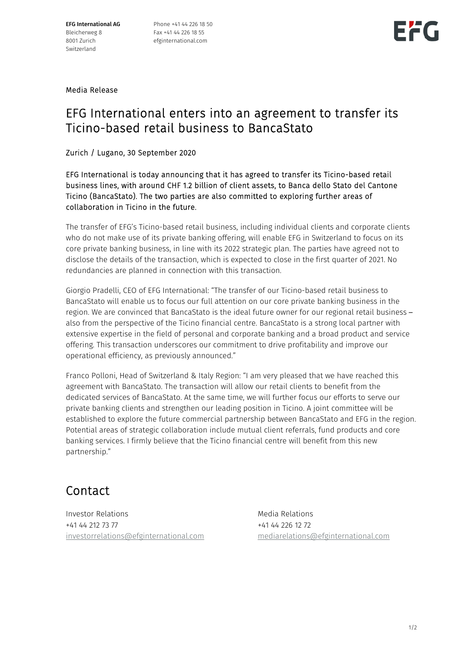EFG International AG Bleicherweg 8 8001 Zurich Switzerland

Phone +41 44 226 18 50 Fax +41 44 226 18 55 efginternational.com



Media Release

## EFG International enters into an agreement to transfer its Ticino-based retail business to BancaStato

Zurich / Lugano, 30 September 2020

EFG International is today announcing that it has agreed to transfer its Ticino-based retail business lines, with around CHF 1.2 billion of client assets, to Banca dello Stato del Cantone Ticino (BancaStato). The two parties are also committed to exploring further areas of collaboration in Ticino in the future.

The transfer of EFG's Ticino-based retail business, including individual clients and corporate clients who do not make use of its private banking offering, will enable EFG in Switzerland to focus on its core private banking business, in line with its 2022 strategic plan. The parties have agreed not to disclose the details of the transaction, which is expected to close in the first quarter of 2021. No redundancies are planned in connection with this transaction.

Giorgio Pradelli, CEO of EFG International: "The transfer of our Ticino-based retail business to BancaStato will enable us to focus our full attention on our core private banking business in the region. We are convinced that BancaStato is the ideal future owner for our regional retail business – also from the perspective of the Ticino financial centre. BancaStato is a strong local partner with extensive expertise in the field of personal and corporate banking and a broad product and service offering. This transaction underscores our commitment to drive profitability and improve our operational efficiency, as previously announced."

Franco Polloni, Head of Switzerland & Italy Region: "I am very pleased that we have reached this agreement with BancaStato. The transaction will allow our retail clients to benefit from the dedicated services of BancaStato. At the same time, we will further focus our efforts to serve our private banking clients and strengthen our leading position in Ticino. A joint committee will be established to explore the future commercial partnership between BancaStato and EFG in the region. Potential areas of strategic collaboration include mutual client referrals, fund products and core banking services. I firmly believe that the Ticino financial centre will benefit from this new partnership."

## Contact

Investor Relations **Media Relations** Media Relations +41 44 212 73 77 +41 44 226 12 72 investorrelations@efginternational.com mediarelations@efginternational.com